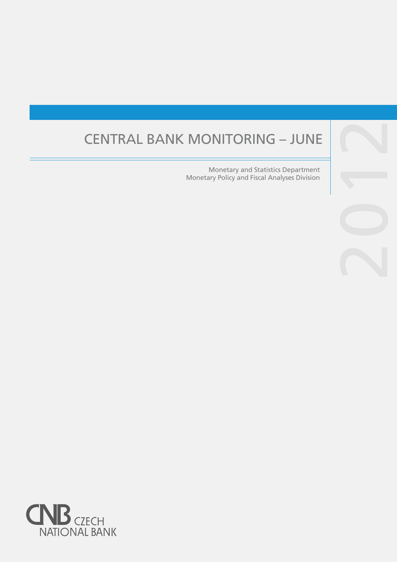# CENTRAL BANK MONITORING – JUNE

Monetary and Statistics Department Monetary Policy and Fiscal Analyses Division

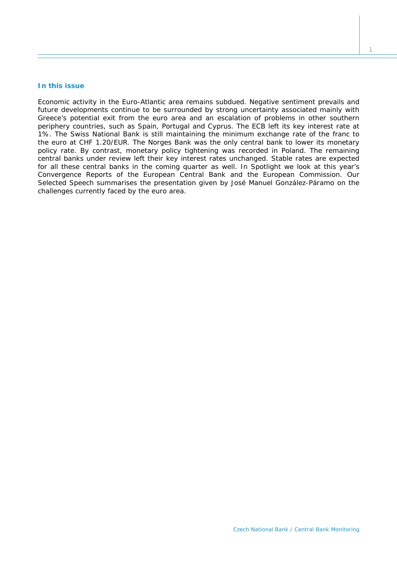# **In this issue**

*Economic activity in the Euro-Atlantic area remains subdued. Negative sentiment prevails and future developments continue to be surrounded by strong uncertainty associated mainly with Greece's potential exit from the euro area and an escalation of problems in other southern periphery countries, such as Spain, Portugal and Cyprus. The ECB left its key interest rate at 1%. The Swiss National Bank is still maintaining the minimum exchange rate of the franc to the euro at CHF 1.20/EUR. The Norges Bank was the only central bank to lower its monetary*  policy rate. By contrast, monetary policy tightening was recorded in Poland. The remaining *central banks under review left their key interest rates unchanged. Stable rates are expected for all these central banks in the coming quarter as well. In* Spotlight *we look at this year's Convergence Reports of the European Central Bank and the European Commission. Our*  Selected Speech *summarises the presentation given by José Manuel González-Páramo on the challenges currently faced by the euro area.*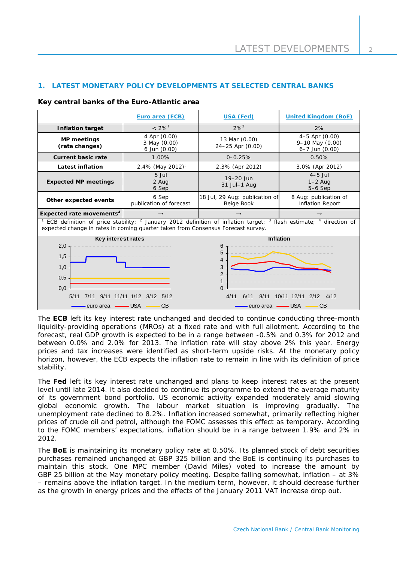# **1. LATEST MONETARY POLICY DEVELOPMENTS AT SELECTED CENTRAL BANKS**

#### **Key central banks of the Euro-Atlantic area**

|                                                                                                                                                                                                                 | Euro area (ECB)                                   | <b>USA (Fed)</b>                                                                                              | <b>United Kingdom (BoE)</b>                                   |  |  |
|-----------------------------------------------------------------------------------------------------------------------------------------------------------------------------------------------------------------|---------------------------------------------------|---------------------------------------------------------------------------------------------------------------|---------------------------------------------------------------|--|--|
| <b>Inflation target</b>                                                                                                                                                                                         | $< 2\%$ <sup>1</sup>                              | $2\%^{2}$                                                                                                     | 2%                                                            |  |  |
| <b>MP</b> meetings<br>(rate changes)                                                                                                                                                                            | 4 Apr (0.00)<br>3 May (0.00)<br>6 Jun (0.00)      | 13 Mar (0.00)<br>24-25 Apr (0.00)                                                                             | $4-5$ Apr $(0.00)$<br>9-10 May (0.00)<br>$6 - 7$ Jun $(0.00)$ |  |  |
| <b>Current basic rate</b>                                                                                                                                                                                       | 1.00%                                             | $0 - 0.25%$                                                                                                   | 0.50%                                                         |  |  |
| <b>Latest inflation</b>                                                                                                                                                                                         | 2.4% (May 2012) <sup>3</sup><br>2.3% (Apr 2012)   |                                                                                                               | 3.0% (Apr 2012)                                               |  |  |
| <b>Expected MP meetings</b>                                                                                                                                                                                     | 5 Jul<br>2 Aug<br>6 Sep                           | 19-20 Jun<br>31 Jul-1 Aug                                                                                     | $4-5$ Jul<br>$1-2$ Aug<br>$5-6$ Sep                           |  |  |
| Other expected events                                                                                                                                                                                           | 6 Sep<br>publication of forecast                  | 18 Jul, 29 Aug: publication of<br>Beige Book                                                                  | 8 Aug: publication of<br><b>Inflation Report</b>              |  |  |
| Expected rate movements <sup>4</sup><br>$\rightarrow$                                                                                                                                                           |                                                   | $\rightarrow$                                                                                                 | $\rightarrow$                                                 |  |  |
| ECB definition of price stability; $^2$ January 2012 definition of inflation target; $^3$ flash estimate; $^4$ direction of<br>expected change in rates in coming quarter taken from Consensus Forecast survey. |                                                   |                                                                                                               |                                                               |  |  |
| Key interest rates<br>2,0<br>1,5<br>1,0<br>0,5<br>0,0<br>5/11<br>7/11<br>euro area                                                                                                                              | 9/11 11/11 1/12 3/12<br>5/12<br><b>GB</b><br>∙USA | Inflation<br>6<br>5<br>4<br>3<br>$\overline{2}$<br>$\Omega$<br>4/11<br>6/11<br>8/11<br>euro area <b>- USA</b> | 10/11 12/11<br>$2/12$ $4/12$<br><b>GB</b>                     |  |  |

The **ECB** left its key interest rate unchanged and decided to continue conducting three-month liquidity-providing operations (MROs) at a fixed rate and with full allotment. According to the forecast, real GDP growth is expected to be in a range between -0.5% and 0.3% for 2012 and between 0.0% and 2.0% for 2013. The inflation rate will stay above 2% this year. Energy prices and tax increases were identified as short-term upside risks. At the monetary policy horizon, however, the ECB expects the inflation rate to remain in line with its definition of price stability.

The **Fed** left its key interest rate unchanged and plans to keep interest rates at the present level until late 2014. It also decided to continue its programme to extend the average maturity of its government bond portfolio. US economic activity expanded moderately amid slowing global economic growth. The labour market situation is improving gradually. The unemployment rate declined to 8.2%. Inflation increased somewhat, primarily reflecting higher prices of crude oil and petrol, although the FOMC assesses this effect as temporary. According to the FOMC members' expectations, inflation should be in a range between 1.9% and 2% in 2012.

The **BoE** is maintaining its monetary policy rate at 0.50%. Its planned stock of debt securities purchases remained unchanged at GBP 325 billion and the BoE is continuing its purchases to maintain this stock. One MPC member (David Miles) voted to increase the amount by GBP 25 billion at the May monetary policy meeting. Despite falling somewhat, inflation – at 3% – remains above the inflation target. In the medium term, however, it should decrease further as the growth in energy prices and the effects of the January 2011 VAT increase drop out.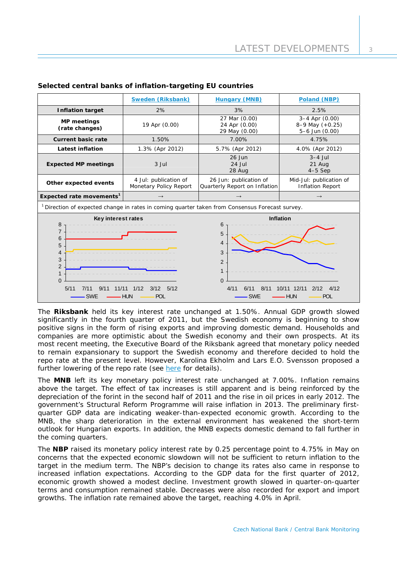|                                                                                                                                                            | <b>Sweden (Riksbank)</b>                                                                      | <b>Hungary (MNB)</b>                                                                                                                                                | Poland (NBP)                                                |  |  |  |
|------------------------------------------------------------------------------------------------------------------------------------------------------------|-----------------------------------------------------------------------------------------------|---------------------------------------------------------------------------------------------------------------------------------------------------------------------|-------------------------------------------------------------|--|--|--|
| <b>Inflation target</b>                                                                                                                                    | 2%                                                                                            |                                                                                                                                                                     | 2.5%                                                        |  |  |  |
| <b>MP</b> meetings<br>19 Apr (0.00)<br>(rate changes)                                                                                                      |                                                                                               | 27 Mar (0.00)<br>24 Apr (0.00)<br>29 May (0.00)                                                                                                                     | $3-4$ Apr $(0.00)$<br>$8-9$ May $(+0.25)$<br>5-6 Jun (0.00) |  |  |  |
| <b>Current basic rate</b>                                                                                                                                  | 1.50%                                                                                         | 7.00%                                                                                                                                                               | 4.75%                                                       |  |  |  |
| <b>Latest inflation</b>                                                                                                                                    | 1.3% (Apr 2012)                                                                               | 5.7% (Apr 2012)                                                                                                                                                     | 4.0% (Apr 2012)                                             |  |  |  |
| <b>Expected MP meetings</b>                                                                                                                                | 3 Jul                                                                                         | $26$ Jun<br>$24$ Jul<br>28 Aug                                                                                                                                      | $3-4$ Jul<br>21 Aug<br>$4-5$ Sep                            |  |  |  |
| Other expected events                                                                                                                                      | 4 Jul: publication of<br><b>Monetary Policy Report</b>                                        | 26 Jun: publication of<br>Quarterly Report on Inflation                                                                                                             | Mid-Jul: publication of<br><b>Inflation Report</b>          |  |  |  |
| Expected rate movements <sup>1</sup>                                                                                                                       | $\rightarrow$                                                                                 | $\rightarrow$                                                                                                                                                       | $\rightarrow$                                               |  |  |  |
|                                                                                                                                                            | Direction of expected change in rates in coming quarter taken from Consensus Forecast survey. |                                                                                                                                                                     |                                                             |  |  |  |
| Key interest rates<br>8<br>$\overline{7}$<br>6<br>5<br>4<br>3<br>$\overline{2}$<br>$\mathbf{1}$<br>$\Omega$<br>5/11<br>9/11<br>7/11<br>11/11<br><b>SWE</b> | 1/12<br>3/12<br>5/12<br><b>HUN</b><br><b>POL</b>                                              | <b>Inflation</b><br>6<br>5<br>4<br>3<br>$\overline{2}$<br>$\Omega$<br>10/11 12/11<br>2/12<br>4/11<br>8/11<br>4/12<br>6/11<br><b>SWF</b><br><b>HUN</b><br><b>POL</b> |                                                             |  |  |  |

# **Selected central banks of inflation-targeting EU countries**

The **Riksbank** held its key interest rate unchanged at 1.50%. Annual GDP growth slowed significantly in the fourth quarter of 2011, but the Swedish economy is beginning to show positive signs in the form of rising exports and improving domestic demand. Households and companies are more optimistic about the Swedish economy and their own prospects. At its most recent meeting, the Executive Board of the Riksbank agreed that monetary policy needed to remain expansionary to support the Swedish economy and therefore decided to hold the repo rate at the present level. However, Karolina Ekholm and Lars E.O. Svensson proposed a further lowering of the repo rate (see [here](http://www.riksbank.se/en/Press-and-published/Press/Press-Releases/2012/Repo-rate-unchanged-at-150-per-cent/) for details).

The **MNB** left its key monetary policy interest rate unchanged at 7.00%. Inflation remains above the target. The effect of tax increases is still apparent and is being reinforced by the depreciation of the forint in the second half of 2011 and the rise in oil prices in early 2012. The government's Structural Reform Programme will raise inflation in 2013. The preliminary firstquarter GDP data are indicating weaker-than-expected economic growth. According to the MNB, the sharp deterioration in the external environment has weakened the short-term outlook for Hungarian exports. In addition, the MNB expects domestic demand to fall further in the coming quarters.

The **NBP** raised its monetary policy interest rate by 0.25 percentage point to 4.75% in May on concerns that the expected economic slowdown will not be sufficient to return inflation to the target in the medium term. The NBP's decision to change its rates also came in response to increased inflation expectations. According to the GDP data for the first quarter of 2012, economic growth showed a modest decline. Investment growth slowed in quarter-on-quarter terms and consumption remained stable. Decreases were also recorded for export and import growths. The inflation rate remained above the target, reaching 4.0% in April.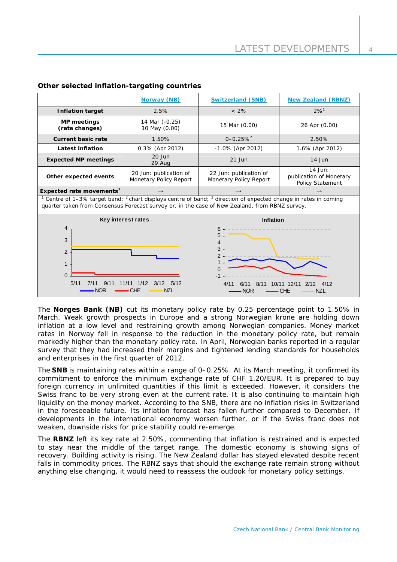|                                                                                                                                                                                                                                                                                                           | Norway (NB)                                      | <b>Switzerland (SNB)</b>                         | <b>New Zealand (RBNZ)</b>                              |  |  |
|-----------------------------------------------------------------------------------------------------------------------------------------------------------------------------------------------------------------------------------------------------------------------------------------------------------|--------------------------------------------------|--------------------------------------------------|--------------------------------------------------------|--|--|
| <b>Inflation target</b>                                                                                                                                                                                                                                                                                   | 2.5%                                             | $< 2\%$                                          | $2%^{1}$                                               |  |  |
| <b>MP</b> meetings<br>(rate changes)                                                                                                                                                                                                                                                                      | 14 Mar (-0.25)<br>10 May (0.00)                  | 15 Mar (0.00)                                    | 26 Apr (0.00)                                          |  |  |
| <b>Current basic rate</b>                                                                                                                                                                                                                                                                                 | 1.50%                                            | $0 - 0.25%$ <sup>2</sup>                         | 2.50%                                                  |  |  |
| <b>Latest inflation</b>                                                                                                                                                                                                                                                                                   | 0.3% (Apr 2012)<br>$-1.0\%$ (Apr 2012)           |                                                  | 1.6% (Apr 2012)                                        |  |  |
| <b>Expected MP meetings</b>                                                                                                                                                                                                                                                                               | $20$ Jun<br>29 Aug                               | $21$ Jun                                         | $14$ Jun                                               |  |  |
| Other expected events                                                                                                                                                                                                                                                                                     | 20 Jun: publication of<br>Monetary Policy Report | 22 Jun: publication of<br>Monetary Policy Report | 14 Jun:<br>publication of Monetary<br>Policy Statement |  |  |
| Expected rate movements <sup>3</sup>                                                                                                                                                                                                                                                                      | $\rightarrow$                                    | $\rightarrow$                                    | $\rightarrow$                                          |  |  |
| <sup>1</sup> Centre of 1–3% target band; <sup>2</sup> chart displays centre of band; <sup>3</sup> direction of expected change in rates in coming<br>quarter taken from Consensus Forecast survey or, in the case of New Zealand, from RBNZ survey.                                                       |                                                  |                                                  |                                                        |  |  |
|                                                                                                                                                                                                                                                                                                           | Key interest rates                               | Inflation                                        |                                                        |  |  |
| 4<br>6<br>5<br>3<br>4<br>3<br>$\overline{2}$<br>$\overline{2}$<br>$\overline{1}$<br>$\mathbf{1}$<br>$\overline{0}$<br>$\Omega$<br>$-1$<br>5/11<br>9/11<br>1/12<br>3/12<br>5/12<br>11/11<br>7/11<br>8/11<br>10/11 12/11<br>4/12<br>4/11<br>6/11<br>2/12<br>NZI.<br>CHE<br>NOR<br>NZL<br><b>NOR</b><br>CHF. |                                                  |                                                  |                                                        |  |  |

### **Other selected inflation-targeting countries**

The **Norges Bank (NB)** cut its monetary policy rate by 0.25 percentage point to 1.50% in March. Weak growth prospects in Europe and a strong Norwegian krone are holding down inflation at a low level and restraining growth among Norwegian companies. Money market rates in Norway fell in response to the reduction in the monetary policy rate, but remain markedly higher than the monetary policy rate. In April, Norwegian banks reported in a regular survey that they had increased their margins and tightened lending standards for households and enterprises in the first quarter of 2012.

The **SNB** is maintaining rates within a range of 0–0.25%. At its March meeting, it confirmed its commitment to enforce the minimum exchange rate of CHF 1.20/EUR. It is prepared to buy foreign currency in unlimited quantities if this limit is exceeded. However, it considers the Swiss franc to be very strong even at the current rate. It is also continuing to maintain high liquidity on the money market. According to the SNB, there are no inflation risks in Switzerland in the foreseeable future. Its inflation forecast has fallen further compared to December. If developments in the international economy worsen further, or if the Swiss franc does not weaken, downside risks for price stability could re-emerge.

The **RBNZ** left its key rate at 2.50%, commenting that inflation is restrained and is expected to stay near the middle of the target range. The domestic economy is showing signs of recovery. Building activity is rising. The New Zealand dollar has stayed elevated despite recent falls in commodity prices. The RBNZ says that should the exchange rate remain strong without anything else changing, it would need to reassess the outlook for monetary policy settings.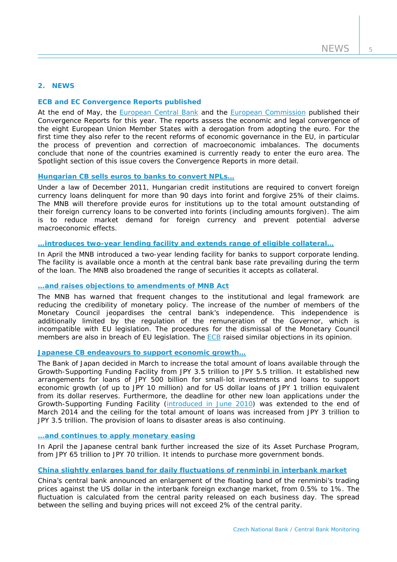# **2. NEWS**

## **ECB and EC Convergence Reports published**

At the end of May, the [European Central Bank](http://www.ecb.int/pub/convergence/html/index.en.html) and the [European Commission](http://ec.europa.eu/economy_finance/publications/european_economy/2012/convergence-report_en.htm) published their Convergence Reports for this year. The reports assess the economic and legal convergence of the eight European Union Member States with a derogation from adopting the euro. For the first time they also refer to the recent reforms of economic governance in the EU, in particular the process of prevention and correction of macroeconomic imbalances. The documents conclude that none of the countries examined is currently ready to enter the euro area. The *Spotlight* section of this issue covers the Convergence Reports in more detail.

## **[Hungarian CB sells euros to banks to convert NPLs](http://english.mnb.hu/Root/ENMNB/Monetaris_politika/decision-making/mnben_monet_kozlem/mtkozl_20120424_kozlemeny2)…**

Under a law of December 2011, Hungarian credit institutions are required to convert foreign currency loans delinquent for more than 90 days into forint and forgive 25% of their claims. The MNB will therefore provide euros for institutions up to the total amount outstanding of their foreign currency loans to be converted into forints (including amounts forgiven). The aim is to reduce market demand for foreign currency and prevent potential adverse macroeconomic effects.

# **[…introduces two-year lending facility](http://english.mnb.hu/Root/ENMNB/Sajtoszoba/online/mnben_pressreleases/mnben_pressreleases_2012/mnben_pressrelease_20120327) and extends range of eligible collateral…**

In April the MNB introduced a two-year lending facility for banks to support corporate lending. The facility is available once a month at the central bank base rate prevailing during the term of the loan. The MNB also broadened the range of securities it accepts as collateral.

#### **[…and raises objections to amendments of MNB Act](http://english.mnb.hu/Root/ENMNB/Sajtoszoba/online/mnben_pressreleases/mnben_pressreleases_2012/summary_20120328)**

The MNB has warned that frequent changes to the institutional and legal framework are reducing the credibility of monetary policy. The increase of the number of members of the Monetary Council jeopardises the central bank's independence. This independence is additionally limited by the regulation of the remuneration of the Governor, which is incompatible with EU legislation. The procedures for the dismissal of the Monetary Council members are also in breach of EU legislation. The [ECB](http://www.ecb.europa.eu/ecb/legal/pdf/en_con_2012_26_f_sign.pdf) raised similar objections in its opinion.

#### **[Japanese CB endeavours to support economic growth…](http://www.boj.or.jp/en/announcements/release_2012/k120313a.pdf)**

The Bank of Japan decided in March to increase the total amount of loans available through the Growth-Supporting Funding Facility from JPY 3.5 trillion to JPY 5.5 trillion. It established new arrangements for loans of JPY 500 billion for small-lot investments and loans to support economic growth (of up to JPY 10 million) and for US dollar loans of JPY 1 trillion equivalent from its dollar reserves. Furthermore, the deadline for other new loan applications under the Growth-Supporting Funding Facility [\(introduced in June 2010\)](http://www.boj.or.jp/en/announcements/release_2010/k100615.pdf) was extended to the end of March 2014 and the ceiling for the total amount of loans was increased from JPY 3 trillion to JPY 3.5 trillion. The provision of loans to disaster areas is also continuing.

#### **[…and continues to apply monetary easing](http://www.boj.or.jp/en/announcements/release_2012/k120427a.pdf)**

In April the Japanese central bank further increased the size of its Asset Purchase Program, from JPY 65 trillion to JPY 70 trillion. It intends to purchase more government bonds.

### **[China slightly enlarges band for daily fluctuations of renminbi in interbank market](http://www.pbc.gov.cn/publish/english/955/2012/20120414090756030448561/20120414090756030448561_.html)**

China's central bank announced an enlargement of the floating band of the renminbi's trading prices against the US dollar in the interbank foreign exchange market, from 0.5% to 1%. The fluctuation is calculated from the central parity released on each business day. The spread between the selling and buying prices will not exceed 2% of the central parity.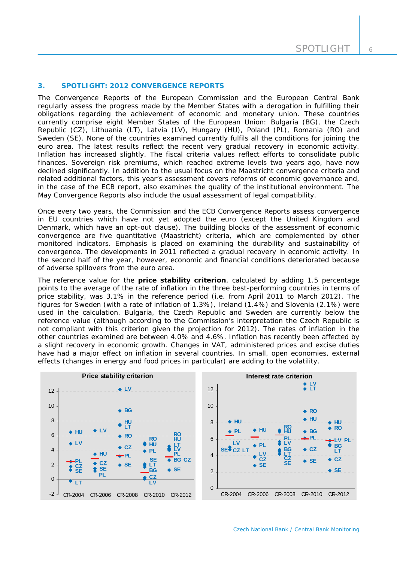### **3. SPOTLIGHT: 2012 CONVERGENCE REPORTS**

*The Convergence Reports of the European Commission and the European Central Bank regularly assess the progress made by the Member States with a derogation in fulfilling their obligations regarding the achievement of economic and monetary union. These countries currently comprise eight Member States of the European Union: Bulgaria (BG), the Czech Republic (CZ), Lithuania (LT), Latvia (LV), Hungary (HU), Poland (PL), Romania (RO) and Sweden (SE). None of the countries examined currently fulfils all the conditions for joining the euro area. The latest results reflect the recent very gradual recovery in economic activity. Inflation has increased slightly. The fiscal criteria values reflect efforts to consolidate public finances. Sovereign risk premiums, which reached extreme levels two years ago, have now declined significantly. In addition to the usual focus on the Maastricht convergence criteria and related additional factors, this year's assessment covers reforms of economic governance and, in the case of the ECB report, also examines the quality of the institutional environment. The May Convergence Reports also include the usual assessment of legal compatibility.* 

Once every two years, the Commission and the ECB Convergence Reports assess convergence in EU countries which have not yet adopted the euro (except the United Kingdom and Denmark, which have an opt-out clause). The building blocks of the assessment of economic convergence are five quantitative (Maastricht) criteria, which are complemented by other monitored indicators. Emphasis is placed on examining the durability and sustainability of convergence. The developments in 2011 reflected a gradual recovery in economic activity. In the second half of the year, however, economic and financial conditions deteriorated because of adverse spillovers from the euro area.

The reference value for the **price stability criterion**, calculated by adding 1.5 percentage points to the average of the rate of inflation in the three best-performing countries in terms of price stability, was 3.1% in the reference period (i.e. from April 2011 to March 2012). The figures for Sweden (with a rate of inflation of 1.3%), Ireland (1.4%) and Slovenia (2.1%) were used in the calculation. Bulgaria, the Czech Republic and Sweden are currently below the reference value (although according to the Commission's interpretation the Czech Republic is not compliant with this criterion given the projection for 2012). The rates of inflation in the other countries examined are between 4.0% and 4.6%. Inflation has recently been affected by a slight recovery in economic growth. Changes in VAT, administered prices and excise duties have had a major effect on inflation in several countries. In small, open economies, external effects (changes in energy and food prices in particular) are adding to the volatility.

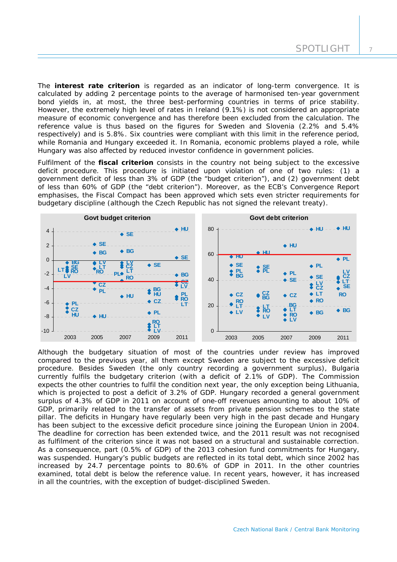The **interest rate criterion** is regarded as an indicator of long-term convergence. It is calculated by adding 2 percentage points to the average of harmonised ten-year government bond yields in, at most, the three best-performing countries in terms of price stability. However, the extremely high level of rates in Ireland (9.1%) is not considered an appropriate measure of economic convergence and has therefore been excluded from the calculation. The reference value is thus based on the figures for Sweden and Slovenia (2.2% and 5.4% respectively) and is 5.8%. Six countries were compliant with this limit in the reference period, while Romania and Hungary exceeded it. In Romania, economic problems played a role, while Hungary was also affected by reduced investor confidence in government policies.

Fulfilment of the **fiscal criterion** consists in the country not being subject to the excessive deficit procedure. This procedure is initiated upon violation of one of two rules: (1) a government deficit of less than 3% of GDP (the "budget criterion"), and (2) government debt of less than 60% of GDP (the "debt criterion"). Moreover, as the ECB's Convergence Report emphasises, the Fiscal Compact has been approved which sets even stricter requirements for budgetary discipline (although the Czech Republic has not signed the relevant treaty).



Although the budgetary situation of most of the countries under review has improved compared to the previous year, all them except Sweden are subject to the excessive deficit procedure. Besides Sweden (the only country recording a government surplus), Bulgaria currently fulfils the budgetary criterion (with a deficit of 2.1% of GDP). The Commission expects the other countries to fulfil the condition next year, the only exception being Lithuania, which is projected to post a deficit of 3.2% of GDP. Hungary recorded a general government surplus of 4.3% of GDP in 2011 on account of one-off revenues amounting to about 10% of GDP, primarily related to the transfer of assets from private pension schemes to the state pillar. The deficits in Hungary have regularly been very high in the past decade and Hungary has been subject to the excessive deficit procedure since joining the European Union in 2004. The deadline for correction has been extended twice, and the 2011 result was not recognised as fulfilment of the criterion since it was not based on a structural and sustainable correction. As a consequence, part (0.5% of GDP) of the 2013 cohesion fund commitments for Hungary, was suspended. Hungary's public budgets are reflected in its total debt, which since 2002 has increased by 24.7 percentage points to 80.6% of GDP in 2011. In the other countries examined, total debt is below the reference value. In recent years, however, it has increased in all the countries, with the exception of budget-disciplined Sweden.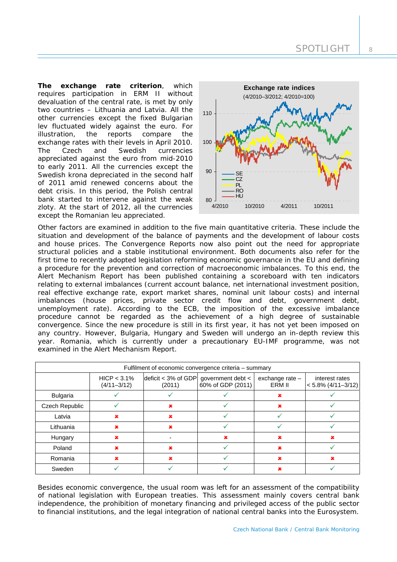SPOTLIGHT 8

**The exchange rate criterion**, which requires participation in ERM II without devaluation of the central rate, is met by only two countries – Lithuania and Latvia. All the other currencies except the fixed Bulgarian lev fluctuated widely against the euro. For illustration, the reports compare the exchange rates with their levels in April 2010. The Czech and Swedish currencies appreciated against the euro from mid-2010 to early 2011. All the currencies except the Swedish krona depreciated in the second half of 2011 amid renewed concerns about the debt crisis. In this period, the Polish central bank started to intervene against the weak zloty. At the start of 2012, all the currencies except the Romanian leu appreciated.



Other factors are examined in addition to the five main quantitative criteria. These include the situation and development of the balance of payments and the development of labour costs and house prices. The Convergence Reports now also point out the need for appropriate structural policies and a stable institutional environment. Both documents also refer for the first time to recently adopted legislation reforming economic governance in the EU and defining a procedure for the prevention and correction of macroeconomic imbalances. To this end, the Alert Mechanism Report has been published containing a scoreboard with ten indicators relating to external imbalances (current account balance, net international investment position, real effective exchange rate, export market shares, nominal unit labour costs) and internal imbalances (house prices, private sector credit flow and debt, government debt, unemployment rate). According to the ECB, the imposition of the excessive imbalance procedure cannot be regarded as the achievement of a high degree of sustainable convergence. Since the new procedure is still in its first year, it has not yet been imposed on any country. However, Bulgaria, Hungary and Sweden will undergo an in-depth review this year. Romania, which is currently under a precautionary EU-IMF programme, was not examined in the Alert Mechanism Report.

| Fulfilment of economic convergence criteria - summary |                                   |                                                 |                   |                             |                                           |
|-------------------------------------------------------|-----------------------------------|-------------------------------------------------|-------------------|-----------------------------|-------------------------------------------|
|                                                       | $HICP < 3.1\%$<br>$(4/11 - 3/12)$ | deficit < 3% of GDP government debt <<br>(2011) | 60% of GDP (2011) | exchange rate $-$<br>ERM II | interest rates<br>$< 5.8\% (4/11 - 3/12)$ |
| <b>Bulgaria</b>                                       |                                   |                                                 |                   |                             |                                           |
| Czech Republic                                        |                                   |                                                 |                   |                             |                                           |
| Latvia                                                |                                   |                                                 |                   |                             |                                           |
| Lithuania                                             |                                   |                                                 |                   |                             |                                           |
| Hungary                                               |                                   |                                                 |                   |                             |                                           |
| Poland                                                |                                   |                                                 |                   |                             |                                           |
| Romania                                               |                                   |                                                 |                   |                             |                                           |
| Sweden                                                |                                   |                                                 |                   |                             |                                           |

Besides economic convergence, the usual room was left for an assessment of the compatibility of national legislation with European treaties. This assessment mainly covers central bank independence, the prohibition of monetary financing and privileged access of the public sector to financial institutions, and the legal integration of national central banks into the Eurosystem.